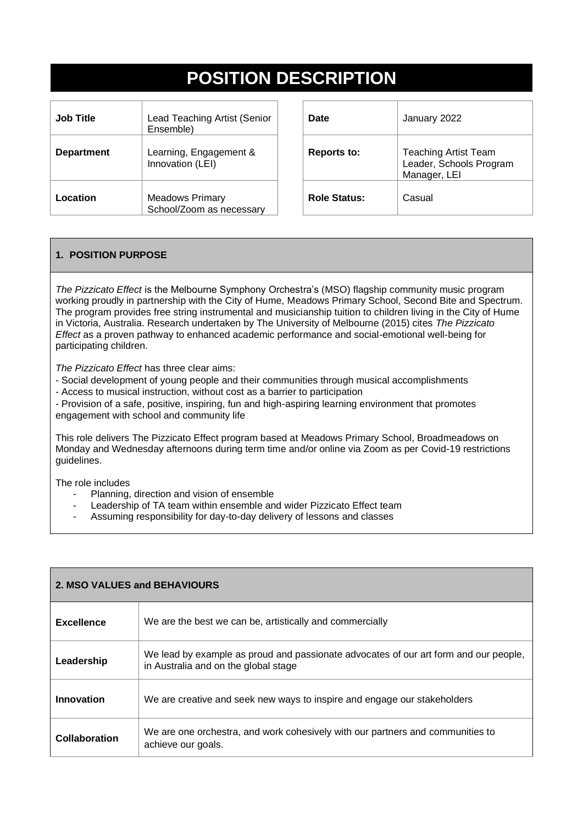# **POSITION DESCRIPTION**

| Job Title         | <b>Lead Teaching Artist (Senior</b><br>Ensemble)   |
|-------------------|----------------------------------------------------|
| <b>Department</b> | Learning, Engagement &<br>Innovation (LEI)         |
| Location          | <b>Meadows Primary</b><br>School/Zoom as necessary |

| Date                | January 2022                                                           |
|---------------------|------------------------------------------------------------------------|
| <b>Reports to:</b>  | <b>Teaching Artist Team</b><br>Leader, Schools Program<br>Manager, LEI |
| <b>Role Status:</b> | Casual                                                                 |

## **1. POSITION PURPOSE**

*The Pizzicato Effect* is the Melbourne Symphony Orchestra's (MSO) flagship community music program working proudly in partnership with the City of Hume, Meadows Primary School, Second Bite and Spectrum. The program provides free string instrumental and musicianship tuition to children living in the City of Hume in Victoria, Australia. Research undertaken by The University of Melbourne (2015) cites *The Pizzicato Effect* as a proven pathway to enhanced academic performance and social-emotional well-being for participating children.

*The Pizzicato Effect* has three clear aims:

• - Social development of young people and their communities through musical accomplishments

• - Access to musical instruction, without cost as a barrier to participation

• - Provision of a safe, positive, inspiring, fun and high-aspiring learning environment that promotes engagement with school and community life

This role delivers The Pizzicato Effect program based at Meadows Primary School, Broadmeadows on Monday and Wednesday afternoons during term time and/or online via Zoom as per Covid-19 restrictions guidelines.

The role includes

- Planning, direction and vision of ensemble
- Leadership of TA team within ensemble and wider Pizzicato Effect team
- Assuming responsibility for day-to-day delivery of lessons and classes

| 2. MSO VALUES and BEHAVIOURS |                                                                                                                              |  |
|------------------------------|------------------------------------------------------------------------------------------------------------------------------|--|
| <b>Excellence</b>            | We are the best we can be, artistically and commercially                                                                     |  |
| Leadership                   | We lead by example as proud and passionate advocates of our art form and our people,<br>in Australia and on the global stage |  |
| Innovation                   | We are creative and seek new ways to inspire and engage our stakeholders                                                     |  |
| Collaboration                | We are one orchestra, and work cohesively with our partners and communities to<br>achieve our goals.                         |  |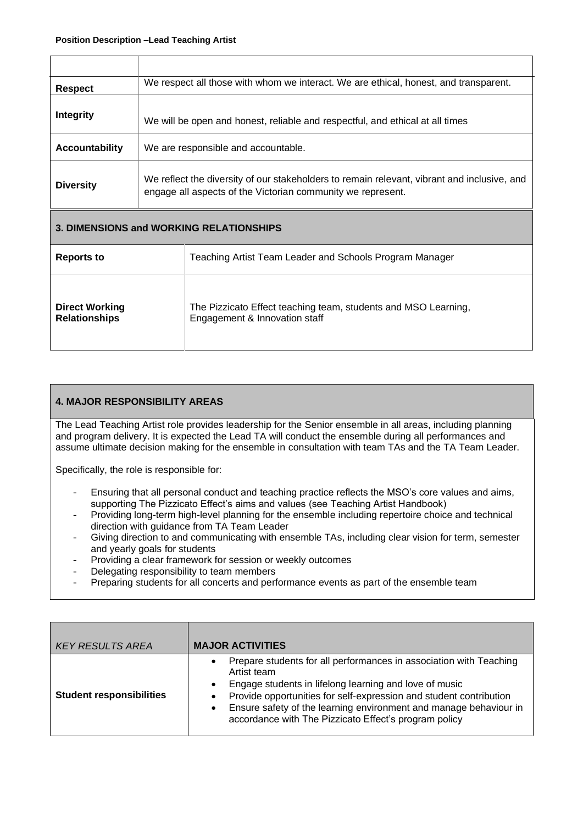| <b>Respect</b>                          | We respect all those with whom we interact. We are ethical, honest, and transparent.                                                                       |                                                         |
|-----------------------------------------|------------------------------------------------------------------------------------------------------------------------------------------------------------|---------------------------------------------------------|
| <b>Integrity</b>                        | We will be open and honest, reliable and respectful, and ethical at all times                                                                              |                                                         |
| <b>Accountability</b>                   | We are responsible and accountable.                                                                                                                        |                                                         |
| <b>Diversity</b>                        | We reflect the diversity of our stakeholders to remain relevant, vibrant and inclusive, and<br>engage all aspects of the Victorian community we represent. |                                                         |
| 3. DIMENSIONS and WORKING RELATIONSHIPS |                                                                                                                                                            |                                                         |
| <b>Reports to</b>                       |                                                                                                                                                            | Teaching Artist Team Leader and Schools Program Manager |
|                                         |                                                                                                                                                            |                                                         |

### **4. MAJOR RESPONSIBILITY AREAS**

The Lead Teaching Artist role provides leadership for the Senior ensemble in all areas, including planning and program delivery. It is expected the Lead TA will conduct the ensemble during all performances and assume ultimate decision making for the ensemble in consultation with team TAs and the TA Team Leader.

Specifically, the role is responsible for:

- Ensuring that all personal conduct and teaching practice reflects the MSO's core values and aims, supporting The Pizzicato Effect's aims and values (see Teaching Artist Handbook)
- Providing long-term high-level planning for the ensemble including repertoire choice and technical direction with guidance from TA Team Leader
- Giving direction to and communicating with ensemble TAs, including clear vision for term, semester and yearly goals for students
- Providing a clear framework for session or weekly outcomes
- Delegating responsibility to team members
- Preparing students for all concerts and performance events as part of the ensemble team

| KEY RESULTS AREA                | <b>MAJOR ACTIVITIES</b>                                                                                                                                                                                                                                                                                                                                      |
|---------------------------------|--------------------------------------------------------------------------------------------------------------------------------------------------------------------------------------------------------------------------------------------------------------------------------------------------------------------------------------------------------------|
| <b>Student responsibilities</b> | Prepare students for all performances in association with Teaching<br>Artist team<br>Engage students in lifelong learning and love of music<br>$\bullet$<br>Provide opportunities for self-expression and student contribution<br>Ensure safety of the learning environment and manage behaviour in<br>accordance with The Pizzicato Effect's program policy |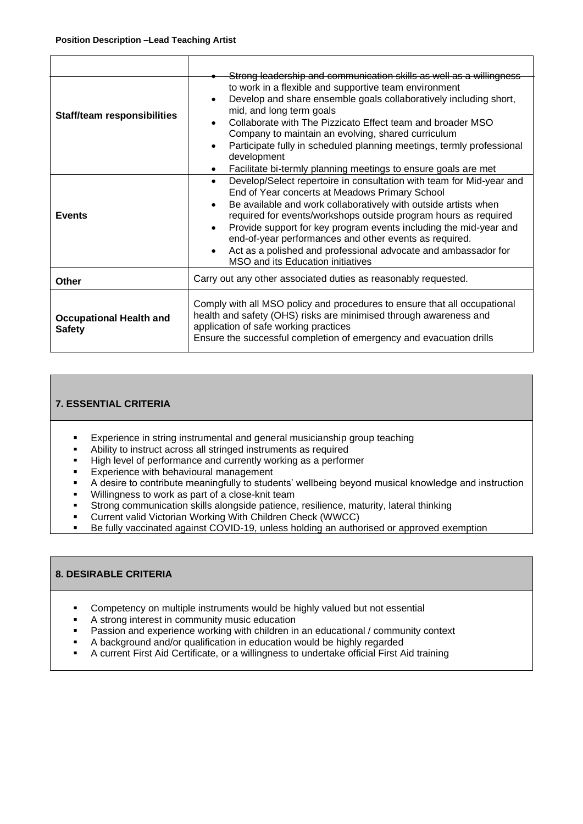| <b>Staff/team responsibilities</b>              | Strong leadership and communication skills as well as a willingness<br>to work in a flexible and supportive team environment<br>Develop and share ensemble goals collaboratively including short,<br>mid, and long term goals<br>Collaborate with The Pizzicato Effect team and broader MSO<br>Company to maintain an evolving, shared curriculum<br>Participate fully in scheduled planning meetings, termly professional<br>development<br>Facilitate bi-termly planning meetings to ensure goals are met     |
|-------------------------------------------------|-----------------------------------------------------------------------------------------------------------------------------------------------------------------------------------------------------------------------------------------------------------------------------------------------------------------------------------------------------------------------------------------------------------------------------------------------------------------------------------------------------------------|
| <b>Events</b>                                   | Develop/Select repertoire in consultation with team for Mid-year and<br>$\bullet$<br>End of Year concerts at Meadows Primary School<br>Be available and work collaboratively with outside artists when<br>required for events/workshops outside program hours as required<br>Provide support for key program events including the mid-year and<br>end-of-year performances and other events as required.<br>Act as a polished and professional advocate and ambassador for<br>MSO and its Education initiatives |
| Other                                           | Carry out any other associated duties as reasonably requested.                                                                                                                                                                                                                                                                                                                                                                                                                                                  |
| <b>Occupational Health and</b><br><b>Safety</b> | Comply with all MSO policy and procedures to ensure that all occupational<br>health and safety (OHS) risks are minimised through awareness and<br>application of safe working practices<br>Ensure the successful completion of emergency and evacuation drills                                                                                                                                                                                                                                                  |

## **7. ESSENTIAL CRITERIA**

- **Experience in string instrumental and general musicianship group teaching**
- Ability to instruct across all stringed instruments as required
- **EXECT** High level of performance and currently working as a performer
- **Experience with behavioural management**
- A desire to contribute meaningfully to students' wellbeing beyond musical knowledge and instruction
- Willingness to work as part of a close-knit team
- **EXTERGHED EXTERGHEDE THE STRONG COMMUNICAT ST** Strong communication skills alongside patience, maturity, lateral thinking
- Current valid Victorian Working With Children Check (WWCC)
- Be fully vaccinated against COVID-19, unless holding an authorised or approved exemption

#### **8. DESIRABLE CRITERIA**

- Competency on multiple instruments would be highly valued but not essential
- A strong interest in community music education
- **EXECT** Passion and experience working with children in an educational / community context
- A background and/or qualification in education would be highly regarded
- A current First Aid Certificate, or a willingness to undertake official First Aid training